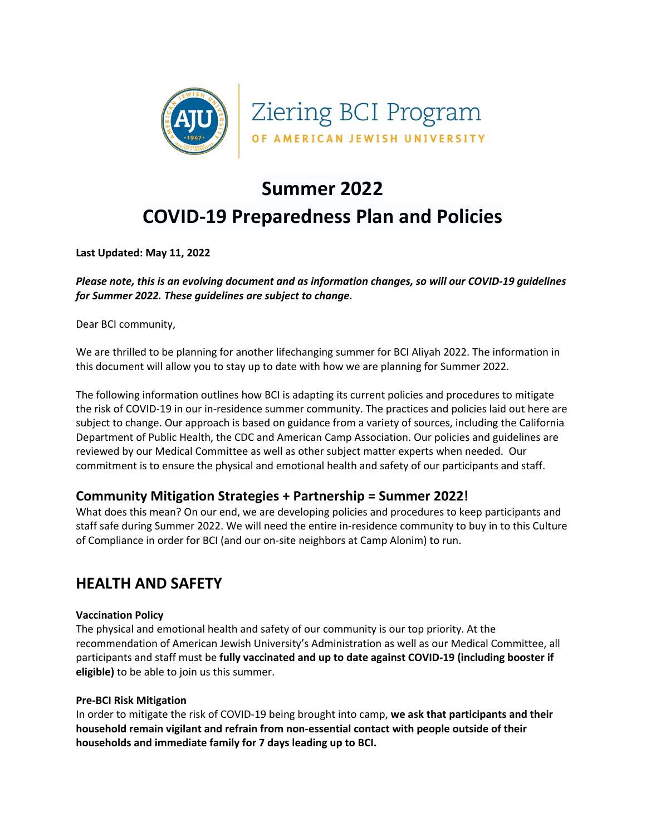

# **Summer 2022**

# **COVID-19 Preparedness Plan and Policies**

**Last Updated: May 11, 2022**

*Please note, this is an evolving document and as information changes, so will our COVID-19 guidelines for Summer 2022. These guidelines are subject to change.*

Dear BCI community,

We are thrilled to be planning for another lifechanging summer for BCI Aliyah 2022. The information in this document will allow you to stay up to date with how we are planning for Summer 2022.

The following information outlines how BCI is adapting its current policies and procedures to mitigate the risk of COVID-19 in our in-residence summer community. The practices and policies laid out here are subject to change. Our approach is based on guidance from a variety of sources, including the California Department of Public Health, the CDC and American Camp Association. Our policies and guidelines are reviewed by our Medical Committee as well as other subject matter experts when needed. Our commitment is to ensure the physical and emotional health and safety of our participants and staff.

### **Community Mitigation Strategies + Partnership = Summer 2022!**

What does this mean? On our end, we are developing policies and procedures to keep participants and staff safe during Summer 2022. We will need the entire in-residence community to buy in to this Culture of Compliance in order for BCI (and our on-site neighbors at Camp Alonim) to run.

### **HEALTH AND SAFETY**

#### **Vaccination Policy**

The physical and emotional health and safety of our community is our top priority. At the recommendation of American Jewish University's Administration as well as our Medical Committee, all participants and staff must be **fully vaccinated and up to date against COVID-19 (including booster if eligible)** to be able to join us this summer.

#### **Pre-BCI Risk Mitigation**

In order to mitigate the risk of COVID-19 being brought into camp, **we ask that participants and their household remain vigilant and refrain from non-essential contact with people outside of their households and immediate family for 7 days leading up to BCI.**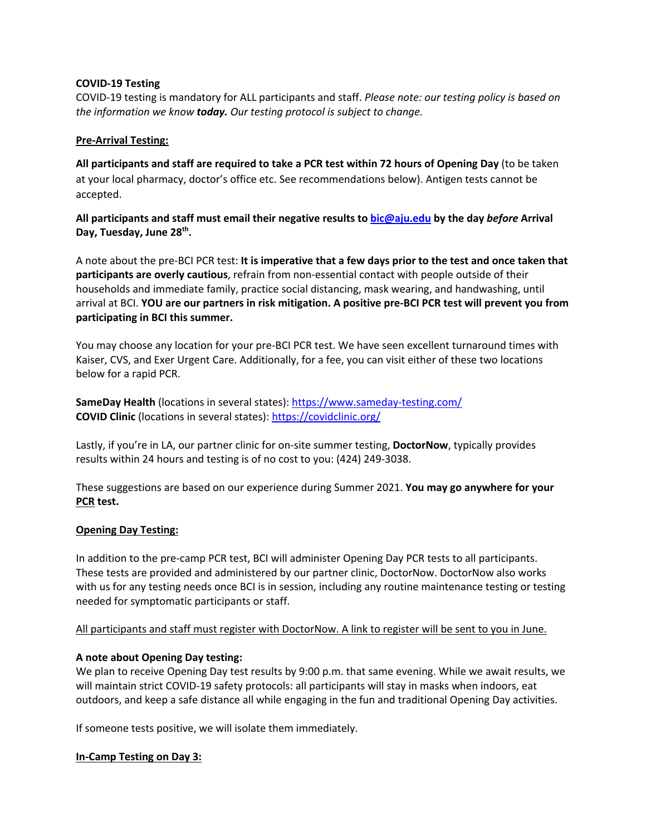#### **COVID-19 Testing**

COVID-19 testing is mandatory for ALL participants and staff. *Please note: our testing policy is based on the information we know today. Our testing protocol is subject to change.*

#### **Pre-Arrival Testing:**

**All participants and staff are required to take a PCR test within 72 hours of Opening Day** (to be taken at your local pharmacy, doctor's office etc. See recommendations below). Antigen tests cannot be accepted.

**All participants and staff must email their negative results to bic@aju.edu by the day** *before* **Arrival Day, Tuesday, June 28th.** 

A note about the pre-BCI PCR test: **It is imperative that a few days prior to the test and once taken that participants are overly cautious**, refrain from non-essential contact with people outside of their households and immediate family, practice social distancing, mask wearing, and handwashing, until arrival at BCI. **YOU are our partners in risk mitigation. A positive pre-BCI PCR test will prevent you from participating in BCI this summer.**

You may choose any location for your pre-BCI PCR test. We have seen excellent turnaround times with Kaiser, CVS, and Exer Urgent Care. Additionally, for a fee, you can visit either of these two locations below for a rapid PCR.

**SameDay Health** (locations in several states): https://www.sameday-testing.com/ **COVID Clinic** (locations in several states): https://covidclinic.org/

Lastly, if you're in LA, our partner clinic for on-site summer testing, **DoctorNow**, typically provides results within 24 hours and testing is of no cost to you: (424) 249-3038.

These suggestions are based on our experience during Summer 2021. **You may go anywhere for your PCR test.** 

#### **Opening Day Testing:**

In addition to the pre-camp PCR test, BCI will administer Opening Day PCR tests to all participants. These tests are provided and administered by our partner clinic, DoctorNow. DoctorNow also works with us for any testing needs once BCI is in session, including any routine maintenance testing or testing needed for symptomatic participants or staff.

#### All participants and staff must register with DoctorNow. A link to register will be sent to you in June.

#### **A note about Opening Day testing:**

We plan to receive Opening Day test results by 9:00 p.m. that same evening. While we await results, we will maintain strict COVID-19 safety protocols: all participants will stay in masks when indoors, eat outdoors, and keep a safe distance all while engaging in the fun and traditional Opening Day activities.

If someone tests positive, we will isolate them immediately.

#### **In-Camp Testing on Day 3:**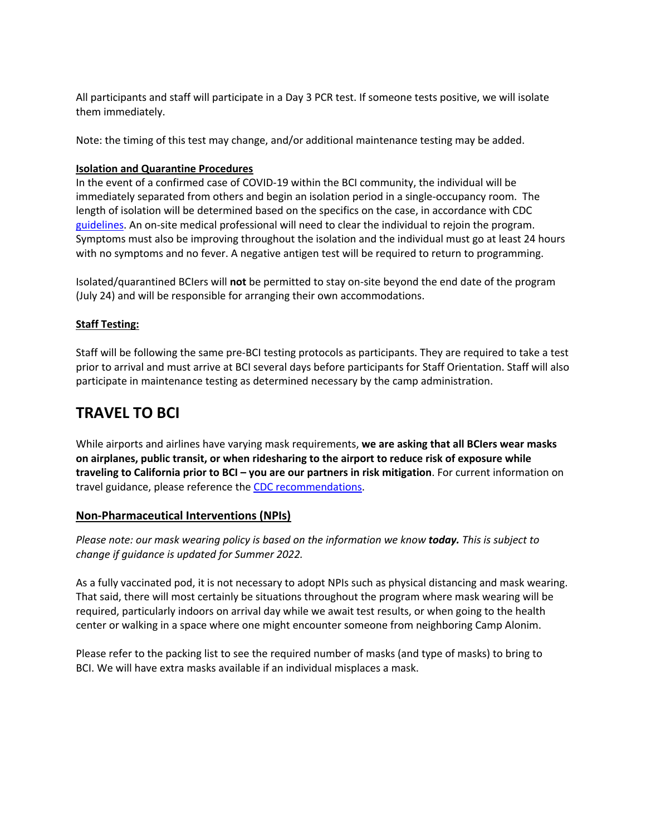All participants and staff will participate in a Day 3 PCR test. If someone tests positive, we will isolate them immediately.

Note: the timing of this test may change, and/or additional maintenance testing may be added.

#### **Isolation and Quarantine Procedures**

In the event of a confirmed case of COVID-19 within the BCI community, the individual will be immediately separated from others and begin an isolation period in a single-occupancy room. The length of isolation will be determined based on the specifics on the case, in accordance with CDC guidelines. An on-site medical professional will need to clear the individual to rejoin the program. Symptoms must also be improving throughout the isolation and the individual must go at least 24 hours with no symptoms and no fever. A negative antigen test will be required to return to programming.

Isolated/quarantined BCIers will **not** be permitted to stay on-site beyond the end date of the program (July 24) and will be responsible for arranging their own accommodations.

#### **Staff Testing:**

Staff will be following the same pre-BCI testing protocols as participants. They are required to take a test prior to arrival and must arrive at BCI several days before participants for Staff Orientation. Staff will also participate in maintenance testing as determined necessary by the camp administration.

## **TRAVEL TO BCI**

While airports and airlines have varying mask requirements, **we are asking that all BCIers wear masks on airplanes, public transit, or when ridesharing to the airport to reduce risk of exposure while traveling to California prior to BCI – you are our partners in risk mitigation**. For current information on travel guidance, please reference the CDC recommendations.

#### **Non-Pharmaceutical Interventions (NPIs)**

*Please note: our mask wearing policy is based on the information we know today. This is subject to change if guidance is updated for Summer 2022.*

As a fully vaccinated pod, it is not necessary to adopt NPIs such as physical distancing and mask wearing. That said, there will most certainly be situations throughout the program where mask wearing will be required, particularly indoors on arrival day while we await test results, or when going to the health center or walking in a space where one might encounter someone from neighboring Camp Alonim.

Please refer to the packing list to see the required number of masks (and type of masks) to bring to BCI. We will have extra masks available if an individual misplaces a mask.